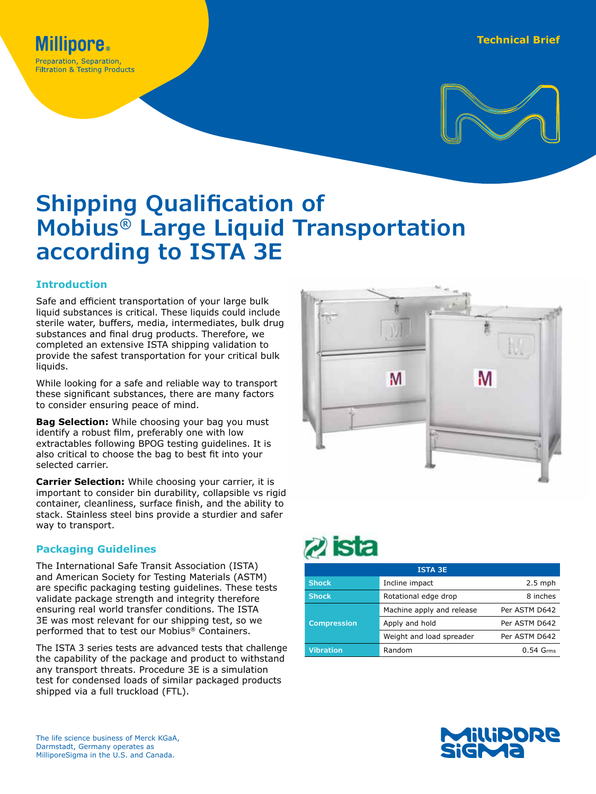



## **Shipping Qualification of Mobius® Large Liquid Transportation according to ISTA 3E**

## **Introduction**

Safe and efficient transportation of your large bulk liquid substances is critical. These liquids could include sterile water, buffers, media, intermediates, bulk drug substances and final drug products. Therefore, we completed an extensive ISTA shipping validation to provide the safest transportation for your critical bulk liquids.

While looking for a safe and reliable way to transport these significant substances, there are many factors to consider ensuring peace of mind.

**Bag Selection:** While choosing your bag you must identify a robust film, preferably one with low extractables following BPOG testing guidelines. It is also critical to choose the bag to best fit into your selected carrier.

**Carrier Selection:** While choosing your carrier, it is important to consider bin durability, collapsible vs rigid container, cleanliness, surface finish, and the ability to stack. Stainless steel bins provide a sturdier and safer way to transport.

## **Packaging Guidelines**

The International Safe Transit Association (ISTA) and American Society for Testing Materials (ASTM) are specific packaging testing guidelines. These tests validate package strength and integrity therefore ensuring real world transfer conditions. The ISTA 3E was most relevant for our shipping test, so we performed that to test our Mobius® Containers.

The ISTA 3 series tests are advanced tests that challenge the capability of the package and product to withstand any transport threats. Procedure 3E is a simulation test for condensed loads of similar packaged products shipped via a full truckload (FTL).



# $\omega$  ista

| <b>ISTA 3E</b>     |                             |               |  |  |
|--------------------|-----------------------------|---------------|--|--|
| <b>Shock</b>       | Incline impact<br>$2.5$ mph |               |  |  |
| <b>Shock</b>       | Rotational edge drop        | 8 inches      |  |  |
| <b>Compression</b> | Machine apply and release   | Per ASTM D642 |  |  |
|                    | Apply and hold              | Per ASTM D642 |  |  |
|                    | Weight and load spreader    | Per ASTM D642 |  |  |
| <b>Vibration</b>   | Random                      | $0.54$ Grms   |  |  |

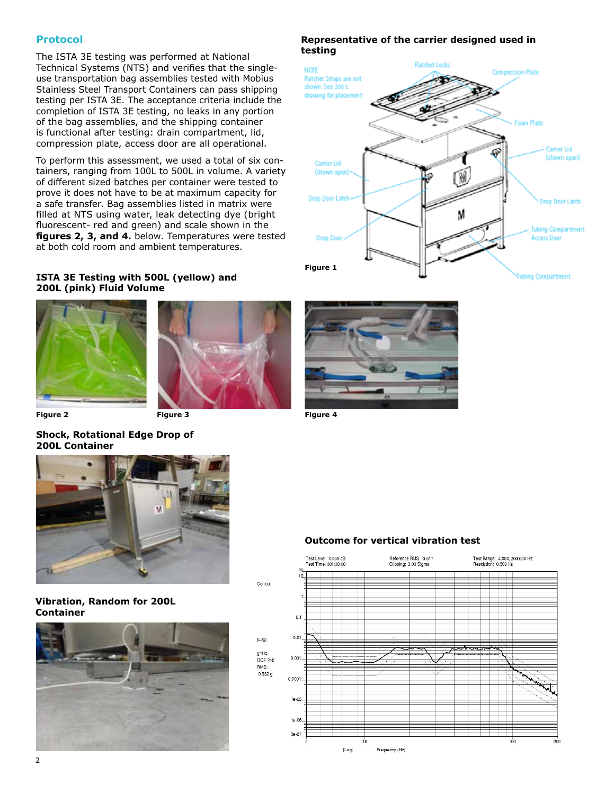## **Protocol**

The ISTA 3E testing was performed at National Technical Systems (NTS) and verifies that the singleuse transportation bag assemblies tested with Mobius Stainless Steel Transport Containers can pass shipping testing per ISTA 3E. The acceptance criteria include the completion of ISTA 3E testing, no leaks in any portion of the bag assemblies, and the shipping container is functional after testing: drain compartment, lid, compression plate, access door are all operational.

To perform this assessment, we used a total of six containers, ranging from 100L to 500L in volume. A variety of different sized batches per container were tested to prove it does not have to be at maximum capacity for a safe transfer. Bag assemblies listed in matrix were filled at NTS using water, leak detecting dye (bright fluorescent- red and green) and scale shown in the **figures 2, 3, and 4.** below. Temperatures were tested at both cold room and ambient temperatures.

## **ISTA 3E Testing with 500L (yellow) and 200L (pink) Fluid Volume**



**Figure 2 Figure 3 Figure 4**

**Shock, Rotational Edge Drop of 200L Container**



## **Vibration, Random for 200L Container**



## **Representative of the carrier designed used in testing**





Control

[Log] giyHz DOF 240

puc 0.532 g



## **Outcome for vertical vibration test**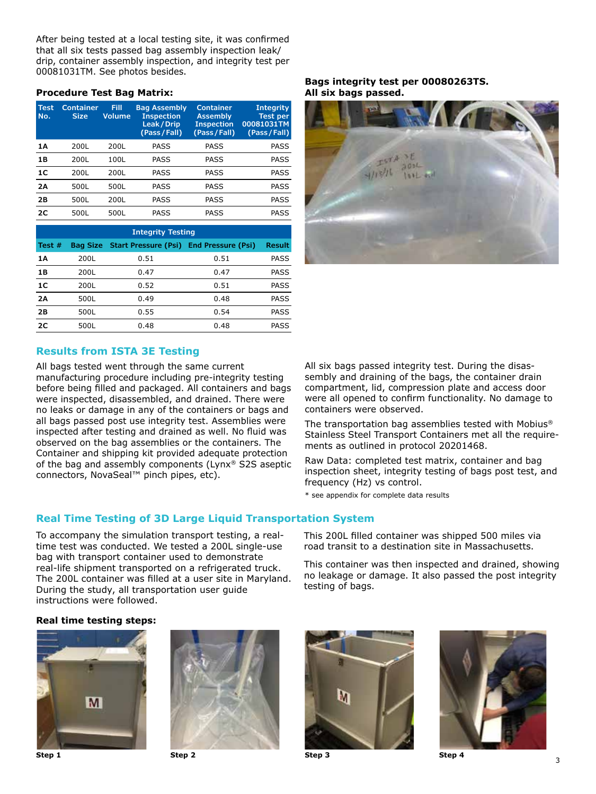After being tested at a local testing site, it was confirmed that all six tests passed bag assembly inspection leak/ drip, container assembly inspection, and integrity test per 00081031TM. See photos besides.

#### **Procedure Test Bag Matrix:**

| <b>Test</b><br>No. | Container<br><b>Size</b> | Fill<br><b>Volume</b> | <b>Bag Assembly</b><br><b>Inspection</b><br>Leak / Drip<br>(Pass/Fall) | Container<br><b>Assembly</b><br><b>Inspection</b><br>(Pass/Fall) | <b>Integrity</b><br><b>Test per</b><br>00081031TM<br>(Pass/Fall) |
|--------------------|--------------------------|-----------------------|------------------------------------------------------------------------|------------------------------------------------------------------|------------------------------------------------------------------|
| 1А                 | 200L                     | 200L                  | PASS                                                                   | PASS                                                             | PASS                                                             |
| 1B                 | 200L                     | 100L                  | PASS                                                                   | PASS                                                             | PASS                                                             |
| 1C                 | 200L                     | 200L                  | PASS                                                                   | PASS                                                             | PASS                                                             |
| <b>2A</b>          | 500L                     | 500L                  | PASS                                                                   | PASS                                                             | PASS                                                             |
| 2B                 | 500L                     | 200L                  | PASS                                                                   | PASS                                                             | PASS                                                             |
| 2C                 | 500L                     | 500L                  | PASS                                                                   | PASS                                                             | PASS                                                             |

| <b>Integrity Testing</b> |          |                             |                           |               |  |  |
|--------------------------|----------|-----------------------------|---------------------------|---------------|--|--|
| Test $#$                 | Bag Size | <b>Start Pressure (Psi)</b> | <b>End Pressure (Psi)</b> | <b>Result</b> |  |  |
| 1A                       | 200L     | 0.51                        | 0.51                      | PASS          |  |  |
| 1B                       | 200L     | 0.47                        | 0.47                      | PASS          |  |  |
| 1C                       | 200L     | 0.52                        | 0.51                      | <b>PASS</b>   |  |  |
| 2A                       | 500L     | 0.49                        | 0.48                      | <b>PASS</b>   |  |  |
| 2Β                       | 500L     | 0.55                        | 0.54                      | PASS          |  |  |
| 2C                       | 500L     | 0.48                        | 0.48                      | PASS          |  |  |

### **Results from ISTA 3E Testing**

All bags tested went through the same current manufacturing procedure including pre-integrity testing before being filled and packaged. All containers and bags were inspected, disassembled, and drained. There were no leaks or damage in any of the containers or bags and all bags passed post use integrity test. Assemblies were inspected after testing and drained as well. No fluid was observed on the bag assemblies or the containers. The Container and shipping kit provided adequate protection of the bag and assembly components (Lynx® S2S aseptic connectors, NovaSeal™ pinch pipes, etc).

#### **Bags integrity test per 00080263TS. All six bags passed.**



All six bags passed integrity test. During the disassembly and draining of the bags, the container drain compartment, lid, compression plate and access door were all opened to confirm functionality. No damage to containers were observed.

The transportation bag assemblies tested with Mobius® Stainless Steel Transport Containers met all the requirements as outlined in protocol 20201468.

Raw Data: completed test matrix, container and bag inspection sheet, integrity testing of bags post test, and frequency (Hz) vs control.

\* see appendix for complete data results

## **Real Time Testing of 3D Large Liquid Transportation System**

To accompany the simulation transport testing, a realtime test was conducted. We tested a 200L single-use bag with transport container used to demonstrate real-life shipment transported on a refrigerated truck. The 200L container was filled at a user site in Maryland. During the study, all transportation user guide instructions were followed.

This 200L filled container was shipped 500 miles via road transit to a destination site in Massachusetts.

This container was then inspected and drained, showing no leakage or damage. It also passed the post integrity testing of bags.

#### **Real time testing steps:**